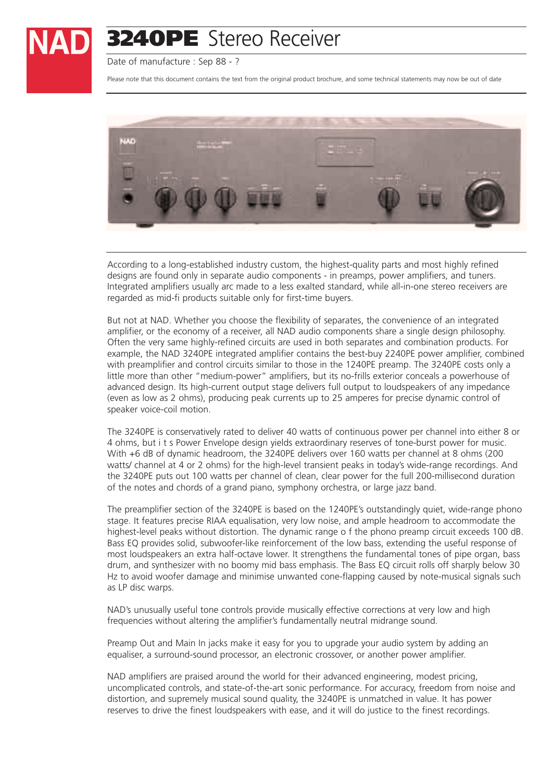

Date of manufacture : Sep 88 - ?

Please note that this document contains the text from the original product brochure, and some technical statements may now be out of date



According to a long-established industry custom, the highest-quality parts and most highly refined designs are found only in separate audio components - in preamps, power amplifiers, and tuners. Integrated amplifiers usually arc made to a less exalted standard, while all-in-one stereo receivers are regarded as mid-fi products suitable only for first-time buyers.

But not at NAD. Whether you choose the flexibility of separates, the convenience of an integrated amplifier, or the economy of a receiver, all NAD audio components share a single design philosophy. Often the very same highly-refined circuits are used in both separates and combination products. For example, the NAD 3240PE integrated amplifier contains the best-buy 2240PE power amplifier, combined with preamplifier and control circuits similar to those in the 1240PE preamp. The 3240PE costs only a little more than other "medium-power" amplifiers, but its no-frills exterior conceals a powerhouse of advanced design. Its high-current output stage delivers full output to loudspeakers of any impedance (even as low as 2 ohms), producing peak currents up to 25 amperes for precise dynamic control of speaker voice-coil motion.

The 3240PE is conservatively rated to deliver 40 watts of continuous power per channel into either 8 or 4 ohms, but i t s Power Envelope design yields extraordinary reserves of tone-burst power for music. With +6 dB of dynamic headroom, the 3240PE delivers over 160 watts per channel at 8 ohms (200 watts/ channel at 4 or 2 ohms) for the high-level transient peaks in today's wide-range recordings. And the 3240PE puts out 100 watts per channel of clean, clear power for the full 200-millisecond duration of the notes and chords of a grand piano, symphony orchestra, or large jazz band.

The preamplifier section of the 3240PE is based on the 1240PE's outstandingly quiet, wide-range phono stage. It features precise RIAA equalisation, very low noise, and ample headroom to accommodate the highest-level peaks without distortion. The dynamic range o f the phono preamp circuit exceeds 100 dB. Bass EQ provides solid, subwoofer-like reinforcement of the low bass, extending the useful response of most loudspeakers an extra half-octave lower. It strengthens the fundamental tones of pipe organ, bass drum, and synthesizer with no boomy mid bass emphasis. The Bass EQ circuit rolls off sharply below 30 Hz to avoid woofer damage and minimise unwanted cone-flapping caused by note-musical signals such as LP disc warps.

NAD's unusually useful tone controls provide musically effective corrections at very low and high frequencies without altering the amplifier's fundamentally neutral midrange sound.

Preamp Out and Main In jacks make it easy for you to upgrade your audio system by adding an equaliser, a surround-sound processor, an electronic crossover, or another power amplifier.

NAD amplifiers are praised around the world for their advanced engineering, modest pricing, uncomplicated controls, and state-of-the-art sonic performance. For accuracy, freedom from noise and distortion, and supremely musical sound quality, the 3240PE is unmatched in value. It has power reserves to drive the finest loudspeakers with ease, and it will do justice to the finest recordings.